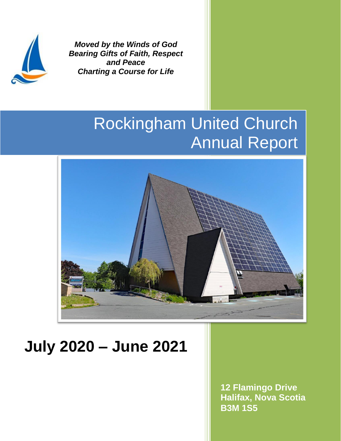

*Moved by the Winds of God Bearing Gifts of Faith, Respect and Peace Charting a Course for Life*

# Rockingham United Church Annual Report



# **July 2020 – June 2021**

**12 Flamingo Drive Halifax, Nova Scotia B3M 1S5**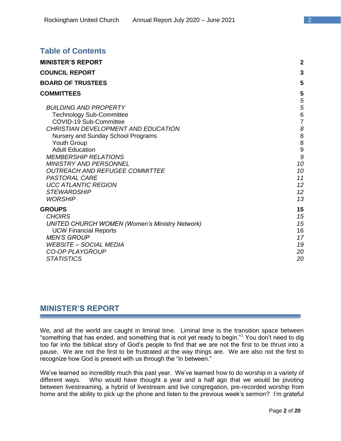| <b>Table of Contents</b>                                                                                                                                                                                                                                                                                                                                                                                               |                                                                                                          |
|------------------------------------------------------------------------------------------------------------------------------------------------------------------------------------------------------------------------------------------------------------------------------------------------------------------------------------------------------------------------------------------------------------------------|----------------------------------------------------------------------------------------------------------|
| <b>MINISTER'S REPORT</b>                                                                                                                                                                                                                                                                                                                                                                                               | $\mathbf{2}$                                                                                             |
| <b>COUNCIL REPORT</b>                                                                                                                                                                                                                                                                                                                                                                                                  | 3                                                                                                        |
| <b>BOARD OF TRUSTEES</b>                                                                                                                                                                                                                                                                                                                                                                                               | 5                                                                                                        |
| <b>COMMITTEES</b>                                                                                                                                                                                                                                                                                                                                                                                                      | 5                                                                                                        |
| <b>BUILDING AND PROPERTY</b><br><b>Technology Sub-Committee</b><br>COVID-19 Sub-Committee<br>CHRISTIAN DEVELOPMENT AND EDUCATION<br>Nursery and Sunday School Programs<br><b>Youth Group</b><br><b>Adult Education</b><br><b>MEMBERSHIP RELATIONS</b><br><b>MINISTRY AND PERSONNEL</b><br><b>OUTREACH AND REFUGEE COMMITTEE</b><br>PASTORAL CARE<br><b>UCC ATLANTIC REGION</b><br><b>STEWARDSHIP</b><br><b>WORSHIP</b> | 5<br>5<br>$6\phantom{1}6$<br>$\overline{7}$<br>8<br>8<br>8<br>9<br>9<br>10<br>10<br>11<br>12<br>12<br>13 |
| <b>GROUPS</b><br><b>CHOIRS</b><br><b>UNITED CHURCH WOMEN (Women's Ministry Network)</b><br><b>UCW Financial Reports</b><br><b>MEN'S GROUP</b><br><b>WEBSITE - SOCIAL MEDIA</b><br><b>CO-OP PLAYGROUP</b><br><b>STATISTICS</b>                                                                                                                                                                                          | 15<br>15<br>15<br>16<br>17<br>19<br>20<br>20                                                             |

# **MINISTER'S REPORT**

We, and all the world are caught in liminal time. Liminal time is the transition space between "something that has ended, and something that is not yet ready to begin."<sup>1</sup> You don't need to dig too far into the biblical story of God's people to find that we are not the first to be thrust into a pause. We are not the first to be frustrated at the way things are. We are also not the first to recognize how God is present with us through the "in between."

We've learned so incredibly much this past year. We've learned how to do worship in a variety of different ways. Who would have thought a year and a half ago that we would be pivoting between livestreaming, a hybrid of livestream and live congregation, pre-recorded worship from home and the ability to pick up the phone and listen to the previous week's sermon? I'm grateful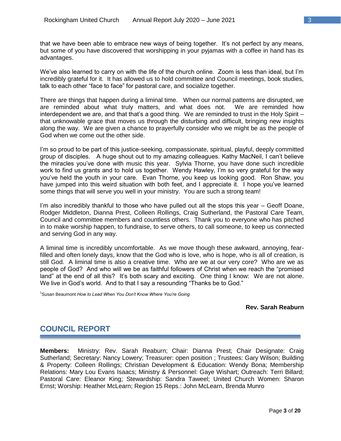that we have been able to embrace new ways of being together. It's not perfect by any means, but some of you have discovered that worshipping in your pyjamas with a coffee in hand has its advantages.

We've also learned to carry on with the life of the church online. Zoom is less than ideal, but I'm incredibly grateful for it. It has allowed us to hold committee and Council meetings, book studies, talk to each other "face to face" for pastoral care, and socialize together.

There are things that happen during a liminal time. When our normal patterns are disrupted, we are reminded about what truly matters, and what does not. We are reminded how interdependent we are, and that that's a good thing. We are reminded to trust in the Holy Spirit  $$ that unknowable grace that moves us through the disturbing and difficult, bringing new insights along the way. We are given a chance to prayerfully consider who we might be as the people of God when we come out the other side.

I'm so proud to be part of this justice-seeking, compassionate, spiritual, playful, deeply committed group of disciples. A huge shout out to my amazing colleagues. Kathy MacNeil, I can't believe the miracles you've done with music this year. Sylvia Thorne, you have done such incredible work to find us grants and to hold us together. Wendy Hawley, I'm so very grateful for the way you've held the youth in your care. Evan Thorne, you keep us looking good. Ron Shaw, you have jumped into this weird situation with both feet, and I appreciate it. I hope you've learned some things that will serve you well in your ministry. You are such a strong team!

I'm also incredibly thankful to those who have pulled out all the stops this year – Geoff Doane, Rodger Middleton, Dianna Prest, Colleen Rollings, Craig Sutherland, the Pastoral Care Team, Council and committee members and countless others. Thank you to everyone who has pitched in to make worship happen, to fundraise, to serve others, to call someone, to keep us connected and serving God in any way.

A liminal time is incredibly uncomfortable. As we move though these awkward, annoying, fearfilled and often lonely days, know that the God who is love, who is hope, who is all of creation, is still God. A liminal time is also a creative time. Who are we at our very core? Who are we as people of God? And who will we be as faithful followers of Christ when we reach the "promised land" at the end of all this? It's both scary and exciting. One thing I know: We are not alone. We live in God's world. And to that I say a resounding "Thanks be to God."

<sup>1</sup>Susan Beaumont *How to Lead When You Don't Know Where You're Going*

#### **Rev. Sarah Reaburn**

# **COUNCIL REPORT**

**Members:** Ministry: Rev. Sarah Reaburn; Chair: Dianna Prest; Chair Designate: Craig Sutherland; Secretary: Nancy Lowery; Treasurer: open position ; Trustees: Gary Wilson; Building & Property: Colleen Rollings; Christian Development & Education: Wendy Bona; Membership Relations: Mary Lou Evans Isaacs; Ministry & Personnel: Gaye Wishart; Outreach: Terri Billard; Pastoral Care: Eleanor King; Stewardship: Sandra Taweel; United Church Women: Sharon Ernst; Worship: Heather McLearn; Region 15 Reps.: John McLearn, Brenda Munro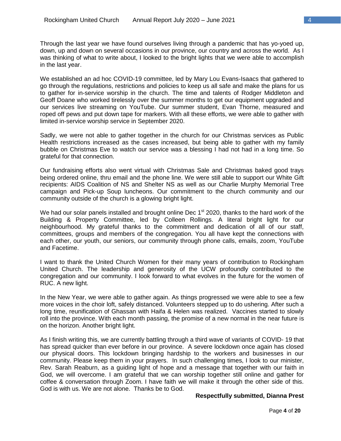Through the last year we have found ourselves living through a pandemic that has yo-yoed up, down, up and down on several occasions in our province, our country and across the world. As I was thinking of what to write about, I looked to the bright lights that we were able to accomplish in the last year.

We established an ad hoc COVID-19 committee, led by Mary Lou Evans-Isaacs that gathered to go through the regulations, restrictions and policies to keep us all safe and make the plans for us to gather for in-service worship in the church. The time and talents of Rodger Middleton and Geoff Doane who worked tirelessly over the summer months to get our equipment upgraded and our services live streaming on YouTube. Our summer student, Evan Thorne, measured and roped off pews and put down tape for markers. With all these efforts, we were able to gather with limited in-service worship service in September 2020.

Sadly, we were not able to gather together in the church for our Christmas services as Public Health restrictions increased as the cases increased, but being able to gather with my family bubble on Christmas Eve to watch our service was a blessing I had not had in a long time. So grateful for that connection.

Our fundraising efforts also went virtual with Christmas Sale and Christmas baked good trays being ordered online, thru email and the phone line. We were still able to support our White Gift recipients: AIDS Coalition of NS and Shelter NS as well as our Charlie Murphy Memorial Tree campaign and Pick-up Soup luncheons. Our commitment to the church community and our community outside of the church is a glowing bright light.

We had our solar panels installed and brought online Dec 1<sup>st</sup> 2020, thanks to the hard work of the Building & Property Committee, led by Colleen Rollings. A literal bright light for our neighbourhood. My grateful thanks to the commitment and dedication of all of our staff, committees, groups and members of the congregation. You all have kept the connections with each other, our youth, our seniors, our community through phone calls, emails, zoom, YouTube and Facetime.

I want to thank the United Church Women for their many years of contribution to Rockingham United Church. The leadership and generosity of the UCW profoundly contributed to the congregation and our community. I look forward to what evolves in the future for the women of RUC. A new light.

In the New Year, we were able to gather again. As things progressed we were able to see a few more voices in the choir loft, safely distanced. Volunteers stepped up to do ushering. After such a long time, reunification of Ghassan with Haifa & Helen was realized. Vaccines started to slowly roll into the province. With each month passing, the promise of a new normal in the near future is on the horizon. Another bright light.

As I finish writing this, we are currently battling through a third wave of variants of COVID- 19 that has spread quicker than ever before in our province. A severe lockdown once again has closed our physical doors. This lockdown bringing hardship to the workers and businesses in our community. Please keep them in your prayers. In such challenging times, I look to our minister, Rev. Sarah Reaburn, as a guiding light of hope and a message that together with our faith in God, we will overcome. I am grateful that we can worship together still online and gather for coffee & conversation through Zoom. I have faith we will make it through the other side of this. God is with us. We are not alone. Thanks be to God.

#### **Respectfully submitted, Dianna Prest**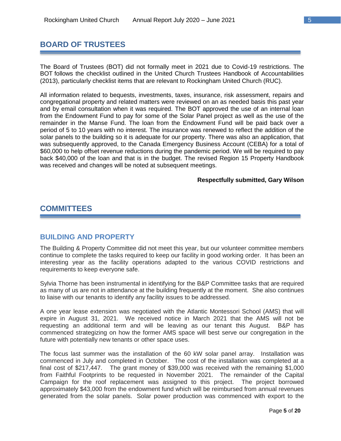# **BOARD OF TRUSTEES**

The Board of Trustees (BOT) did not formally meet in 2021 due to Covid-19 restrictions. The BOT follows the checklist outlined in the United Church Trustees Handbook of Accountabilities (2013), particularly checklist items that are relevant to Rockingham United Church (RUC).

All information related to bequests, investments, taxes, insurance, risk assessment, repairs and congregational property and related matters were reviewed on an as needed basis this past year and by email consultation when it was required. The BOT approved the use of an internal loan from the Endowment Fund to pay for some of the Solar Panel project as well as the use of the remainder in the Manse Fund. The loan from the Endowment Fund will be paid back over a period of 5 to 10 years with no interest. The insurance was renewed to reflect the addition of the solar panels to the building so it is adequate for our property. There was also an application, that was subsequently approved, to the Canada Emergency Business Account (CEBA) for a total of \$60,000 to help offset revenue reductions during the pandemic period. We will be required to pay back \$40,000 of the loan and that is in the budget. The revised Region 15 Property Handbook was received and changes will be noted at subsequent meetings.

#### **Respectfully submitted, Gary Wilson**

# **COMMITTEES**

### **BUILDING AND PROPERTY**

The Building & Property Committee did not meet this year, but our volunteer committee members continue to complete the tasks required to keep our facility in good working order. It has been an interesting year as the facility operations adapted to the various COVID restrictions and requirements to keep everyone safe.

Sylvia Thorne has been instrumental in identifying for the B&P Committee tasks that are required as many of us are not in attendance at the building frequently at the moment. She also continues to liaise with our tenants to identify any facility issues to be addressed.

A one year lease extension was negotiated with the Atlantic Montessori School (AMS) that will expire in August 31, 2021. We received notice in March 2021 that the AMS will not be requesting an additional term and will be leaving as our tenant this August. B&P has commenced strategizing on how the former AMS space will best serve our congregation in the future with potentially new tenants or other space uses.

The focus last summer was the installation of the 60 kW solar panel array. Installation was commenced in July and completed in October. The cost of the installation was completed at a final cost of \$217,447. The grant money of \$39,000 was received with the remaining \$1,000 from Faithful Footprints to be requested in November 2021. The remainder of the Capital Campaign for the roof replacement was assigned to this project. The project borrowed approximately \$43,000 from the endowment fund which will be reimbursed from annual revenues generated from the solar panels. Solar power production was commenced with export to the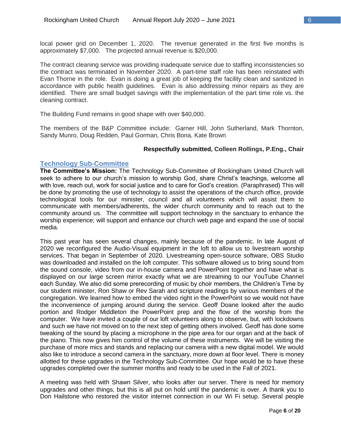local power grid on December 1, 2020. The revenue generated in the first five months is approximately \$7,000. The projected annual revenue is \$20,000.

The contract cleaning service was providing inadequate service due to staffing inconsistencies so the contract was terminated in November 2020. A part-time staff role has been reinstated with Evan Thorne in the role. Evan is doing a great job of keeping the facility clean and sanitized in accordance with public health guidelines. Evan is also addressing minor repairs as they are identified. There are small budget savings with the implementation of the part time role vs. the cleaning contract.

The Building Fund remains in good shape with over \$40,000.

The members of the B&P Committee include: Garner Hill, John Sutherland, Mark Thornton, Sandy Munro, Doug Redden, Paul Gorman, Chris Bona, Kate Brown

#### **Respectfully submitted, Colleen Rollings, P.Eng., Chair**

#### **Technology Sub-Committee**

**The Committee's Mission:** The Technology Sub-Committee of Rockingham United Church will seek to adhere to our church's mission to worship God, share Christ's teachings, welcome all with love, reach out, work for social justice and to care for God's creation. (Paraphrased) This will be done by promoting the use of technology to assist the operations of the church office, provide technological tools for our minister, council and all volunteers which will assist them to communicate with members/adherents, the wider church community and to reach out to the community around us. The committee will support technology in the sanctuary to enhance the worship experience; will support and enhance our church web page and expand the use of social media.

This past year has seen several changes, mainly because of the pandemic. In late August of 2020 we reconfigured the Audio-Visual equipment in the loft to allow us to livestream worship services. That began in September of 2020. Livestreaming open-source software, OBS Studio was downloaded and installed on the loft computer. This software allowed us to bring sound from the sound console, video from our in-house camera and PowerPoint together and have what is displayed on our large screen mirror exactly what we are streaming to our YouTube Channel each Sunday. We also did some prerecording of music by choir members, the Children's Time by our student minister, Ron Shaw or Rev Sarah and scripture readings by various members of the congregation. We learned how to embed the video right in the PowerPoint so we would not have the inconvenience of jumping around during the service. Geoff Doane looked after the audio portion and Rodger Middleton the PowerPoint prep and the flow of the worship from the computer. We have invited a couple of our loft volunteers along to observe, but, with lockdowns and such we have not moved on to the next step of getting others involved. Geoff has done some tweaking of the sound by placing a microphone in the pipe area for our organ and at the back of the piano. This now gives him control of the volume of these instruments. We will be visiting the purchase of more mics and stands and replacing our camera with a new digital model. We would also like to introduce a second camera in the sanctuary, more down at floor level. There is money allotted for these upgrades in the Technology Sub-Committee. Our hope would be to have these upgrades completed over the summer months and ready to be used in the Fall of 2021.

A meeting was held with Shawn Silver, who looks after our server. There is need for memory upgrades and other things, but this is all put on hold until the pandemic is over. A thank you to Don Hailstone who restored the visitor internet connection in our Wi Fi setup. Several people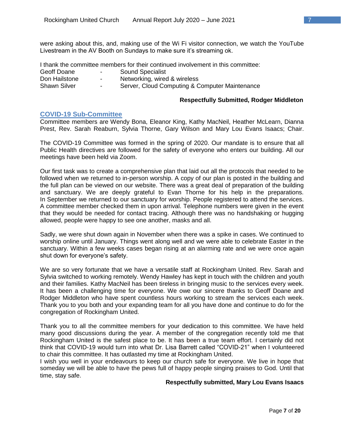were asking about this, and, making use of the Wi Fi visitor connection, we watch the YouTube Livestream in the AV Booth on Sundays to make sure it's streaming ok.

I thank the committee members for their continued involvement in this committee:

- Geoff Doane Fash Sound Specialist
- Don Hailstone Networking, wired & wireless
- 
- 
- Shawn Silver  **Server, Cloud Computing & Computer Maintenance**

#### **Respectfully Submitted, Rodger Middleton**

#### **COVID-19 Sub-Committee**

Committee members are Wendy Bona, Eleanor King, Kathy MacNeil, Heather McLearn, Dianna Prest, Rev. Sarah Reaburn, Sylvia Thorne, Gary Wilson and Mary Lou Evans Isaacs; Chair.

The COVID-19 Committee was formed in the spring of 2020. Our mandate is to ensure that all Public Health directives are followed for the safety of everyone who enters our building. All our meetings have been held via Zoom.

Our first task was to create a comprehensive plan that laid out all the protocols that needed to be followed when we returned to in-person worship. A copy of our plan is posted in the building and the full plan can be viewed on our website. There was a great deal of preparation of the building and sanctuary. We are deeply grateful to Evan Thorne for his help in the preparations. In September we returned to our sanctuary for worship. People registered to attend the services. A committee member checked them in upon arrival. Telephone numbers were given in the event that they would be needed for contact tracing. Although there was no handshaking or hugging allowed, people were happy to see one another, masks and all.

Sadly, we were shut down again in November when there was a spike in cases. We continued to worship online until January. Things went along well and we were able to celebrate Easter in the sanctuary. Within a few weeks cases began rising at an alarming rate and we were once again shut down for everyone's safety.

We are so very fortunate that we have a versatile staff at Rockingham United. Rev. Sarah and Sylvia switched to working remotely. Wendy Hawley has kept in touch with the children and youth and their families. Kathy MacNeil has been tireless in bringing music to the services every week. It has been a challenging time for everyone. We owe our sincere thanks to Geoff Doane and Rodger Middleton who have spent countless hours working to stream the services each week. Thank you to you both and your expanding team for all you have done and continue to do for the congregation of Rockingham United.

Thank you to all the committee members for your dedication to this committee. We have held many good discussions during the year. A member of the congregation recently told me that Rockingham United is the safest place to be. It has been a true team effort. I certainly did not think that COVID-19 would turn into what Dr. Lisa Barrett called "COVID-21" when I volunteered to chair this committee. It has outlasted my time at Rockingham United.

I wish you well in your endeavours to keep our church safe for everyone. We live in hope that someday we will be able to have the pews full of happy people singing praises to God. Until that time, stay safe.

#### **Respectfully submitted, Mary Lou Evans Isaacs**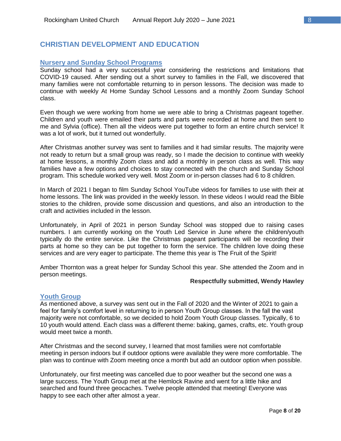# **CHRISTIAN DEVELOPMENT AND EDUCATION**

#### **Nursery and Sunday School Programs**

Sunday school had a very successful year considering the restrictions and limitations that COVID-19 caused. After sending out a short survey to families in the Fall, we discovered that many families were not comfortable returning to in person lessons. The decision was made to continue with weekly At Home Sunday School Lessons and a monthly Zoom Sunday School class.

Even though we were working from home we were able to bring a Christmas pageant together. Children and youth were emailed their parts and parts were recorded at home and then sent to me and Sylvia (office). Then all the videos were put together to form an entire church service! It was a lot of work, but it turned out wonderfully.

After Christmas another survey was sent to families and it had similar results. The majority were not ready to return but a small group was ready, so I made the decision to continue with weekly at home lessons, a monthly Zoom class and add a monthly in person class as well. This way families have a few options and choices to stay connected with the church and Sunday School program. This schedule worked very well. Most Zoom or in-person classes had 6 to 8 children.

In March of 2021 I began to film Sunday School YouTube videos for families to use with their at home lessons. The link was provided in the weekly lesson. In these videos I would read the Bible stories to the children, provide some discussion and questions, and also an introduction to the craft and activities included in the lesson.

Unfortunately, in April of 2021 in person Sunday School was stopped due to raising cases numbers. I am currently working on the Youth Led Service in June where the children/youth typically do the entire service. Like the Christmas pageant participants will be recording their parts at home so they can be put together to form the service. The children love doing these services and are very eager to participate. The theme this year is The Fruit of the Spirit!

Amber Thornton was a great helper for Sunday School this year. She attended the Zoom and in person meetings.

#### **Respectfully submitted, Wendy Hawley**

#### **Youth Group**

As mentioned above, a survey was sent out in the Fall of 2020 and the Winter of 2021 to gain a feel for family's comfort level in returning to in person Youth Group classes. In the fall the vast majority were not comfortable, so we decided to hold Zoom Youth Group classes. Typically, 6 to 10 youth would attend. Each class was a different theme: baking, games, crafts, etc. Youth group would meet twice a month.

After Christmas and the second survey, I learned that most families were not comfortable meeting in person indoors but if outdoor options were available they were more comfortable. The plan was to continue with Zoom meeting once a month but add an outdoor option when possible.

Unfortunately, our first meeting was cancelled due to poor weather but the second one was a large success. The Youth Group met at the Hemlock Ravine and went for a little hike and searched and found three geocaches. Twelve people attended that meeting! Everyone was happy to see each other after almost a year.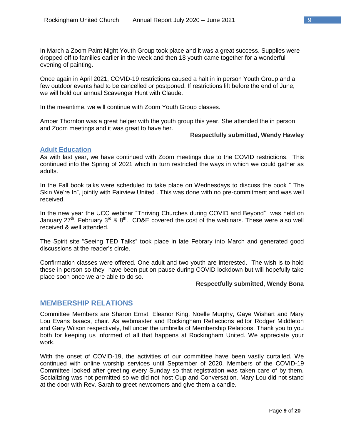In March a Zoom Paint Night Youth Group took place and it was a great success. Supplies were dropped off to families earlier in the week and then 18 youth came together for a wonderful evening of painting.

Once again in April 2021, COVID-19 restrictions caused a halt in in person Youth Group and a few outdoor events had to be cancelled or postponed. If restrictions lift before the end of June, we will hold our annual Scavenger Hunt with Claude.

In the meantime, we will continue with Zoom Youth Group classes.

Amber Thornton was a great helper with the youth group this year. She attended the in person and Zoom meetings and it was great to have her.

#### **Respectfully submitted, Wendy Hawley**

#### **Adult Education**

As with last year, we have continued with Zoom meetings due to the COVID restrictions. This continued into the Spring of 2021 which in turn restricted the ways in which we could gather as adults.

In the Fall book talks were scheduled to take place on Wednesdays to discuss the book " The Skin We're In", jointly with Fairview United . This was done with no pre-commitment and was well received.

In the new year the UCC webinar "Thriving Churches during COVID and Beyond" was held on January 27<sup>th</sup>, February 3<sup>rd</sup> & 8<sup>th</sup>. CD&E covered the cost of the webinars. These were also well received & well attended.

The Spirit site "Seeing TED Talks" took place in late Febrary into March and generated good discussions at the reader's circle.

Confirmation classes were offered. One adult and two youth are interested. The wish is to hold these in person so they have been put on pause during COVID lockdown but will hopefully take place soon once we are able to do so.

#### **Respectfully submitted, Wendy Bona**

### **MEMBERSHIP RELATIONS**

Committee Members are Sharon Ernst, Eleanor King, Noelle Murphy, Gaye Wishart and Mary Lou Evans Isaacs, chair. As webmaster and Rockingham Reflections editor Rodger Middleton and Gary Wilson respectively, fall under the umbrella of Membership Relations. Thank you to you both for keeping us informed of all that happens at Rockingham United. We appreciate your work.

With the onset of COVID-19, the activities of our committee have been vastly curtailed. We continued with online worship services until September of 2020. Members of the COVID-19 Committee looked after greeting every Sunday so that registration was taken care of by them. Socializing was not permitted so we did not host Cup and Conversation. Mary Lou did not stand at the door with Rev. Sarah to greet newcomers and give them a candle.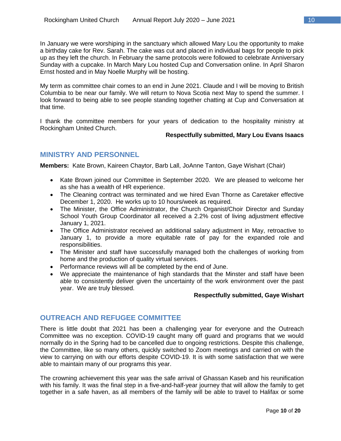In January we were worshiping in the sanctuary which allowed Mary Lou the opportunity to make a birthday cake for Rev. Sarah. The cake was cut and placed in individual bags for people to pick up as they left the church. In February the same protocols were followed to celebrate Anniversary Sunday with a cupcake. In March Mary Lou hosted Cup and Conversation online. In April Sharon Ernst hosted and in May Noelle Murphy will be hosting.

My term as committee chair comes to an end in June 2021. Claude and I will be moving to British Columbia to be near our family. We will return to Nova Scotia next May to spend the summer. I look forward to being able to see people standing together chatting at Cup and Conversation at that time.

I thank the committee members for your years of dedication to the hospitality ministry at Rockingham United Church.

#### **Respectfully submitted, Mary Lou Evans Isaacs**

# **MINISTRY AND PERSONNEL**

**Members:** Kate Brown, Kaireen Chaytor, Barb Lall, JoAnne Tanton, Gaye Wishart (Chair)

- Kate Brown joined our Committee in September 2020. We are pleased to welcome her as she has a wealth of HR experience.
- The Cleaning contract was terminated and we hired Evan Thorne as Caretaker effective December 1, 2020. He works up to 10 hours/week as required.
- The Minister, the Office Administrator, the Church Organist/Choir Director and Sunday School Youth Group Coordinator all received a 2.2% cost of living adjustment effective January 1, 2021.
- The Office Administrator received an additional salary adjustment in May, retroactive to January 1, to provide a more equitable rate of pay for the expanded role and responsibilities.
- The Minister and staff have successfully managed both the challenges of working from home and the production of quality virtual services.
- Performance reviews will all be completed by the end of June.
- We appreciate the maintenance of high standards that the Minster and staff have been able to consistently deliver given the uncertainty of the work environment over the past year. We are truly blessed.

#### **Respectfully submitted, Gaye Wishart**

# **OUTREACH AND REFUGEE COMMITTEE**

There is little doubt that 2021 has been a challenging year for everyone and the Outreach Committee was no exception. COVID-19 caught many off guard and programs that we would normally do in the Spring had to be cancelled due to ongoing restrictions. Despite this challenge, the Committee, like so many others, quickly switched to Zoom meetings and carried on with the view to carrying on with our efforts despite COVID-19. It is with some satisfaction that we were able to maintain many of our programs this year.

The crowning achievement this year was the safe arrival of Ghassan Kaseb and his reunification with his family. It was the final step in a five-and-half-year journey that will allow the family to get together in a safe haven, as all members of the family will be able to travel to Halifax or some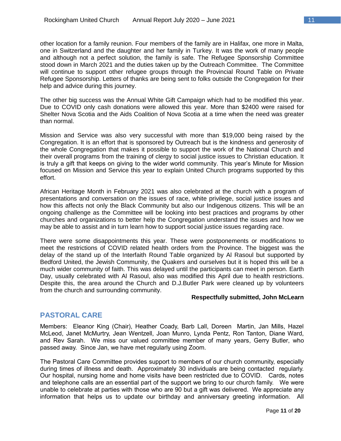other location for a family reunion. Four members of the family are in Halifax, one more in Malta, one in Switzerland and the daughter and her family in Turkey. It was the work of many people and although not a perfect solution, the family is safe. The Refugee Sponsorship Committee stood down in March 2021 and the duties taken up by the Outreach Committee. The Committee will continue to support other refugee groups through the Provincial Round Table on Private Refugee Sponsorship. Letters of thanks are being sent to folks outside the Congregation for their help and advice during this journey.

The other big success was the Annual White Gift Campaign which had to be modified this year. Due to COVID only cash donations were allowed this year. More than \$2400 were raised for Shelter Nova Scotia and the Aids Coalition of Nova Scotia at a time when the need was greater than normal.

Mission and Service was also very successful with more than \$19,000 being raised by the Congregation. It is an effort that is sponsored by Outreach but is the kindness and generosity of the whole Congregation that makes it possible to support the work of the National Church and their overall programs from the training of clergy to social justice issues to Christian education. It is truly a gift that keeps on giving to the wider world community. This year's Minute for Mission focused on Mission and Service this year to explain United Church programs supported by this effort.

African Heritage Month in February 2021 was also celebrated at the church with a program of presentations and conversation on the issues of race, white privilege, social justice issues and how this affects not only the Black Community but also our Indigenous citizens. This will be an ongoing challenge as the Committee will be looking into best practices and programs by other churches and organizations to better help the Congregation understand the issues and how we may be able to assist and in turn learn how to support social justice issues regarding race.

There were some disappointments this year. These were postponements or modifications to meet the restrictions of COVID related health orders from the Province. The biggest was the delay of the stand up of the Interfaith Round Table organized by Al Rasoul but supported by Bedford United, the Jewish Community, the Quakers and ourselves but it is hoped this will be a much wider community of faith. This was delayed until the participants can meet in person. Earth Day, usually celebrated with Al Rasoul, also was modified this April due to health restrictions. Despite this, the area around the Church and D.J.Butler Park were cleaned up by volunteers from the church and surrounding community.

#### **Respectfully submitted, John McLearn**

# **PASTORAL CARE**

Members: Eleanor King (Chair), Heather Coady, Barb Lall, Doreen Martin, Jan Mills, Hazel McLeod, Janet McMurtry, Jean Wentzell, Joan Munro, Lynda Pentz, Ron Tanton, Diane Ward, and Rev Sarah. We miss our valued committee member of many years, Gerry Butler, who passed away. Since Jan, we have met regularly using Zoom.

The Pastoral Care Committee provides support to members of our church community, especially during times of illness and death. Approximately 30 individuals are being contacted regularly. Our hospital, nursing home and home visits have been restricted due to COVID. Cards, notes and telephone calls are an essential part of the support we bring to our church family. We were unable to celebrate at parties with those who are 90 but a gift was delivered. We appreciate any information that helps us to update our birthday and anniversary greeting information. All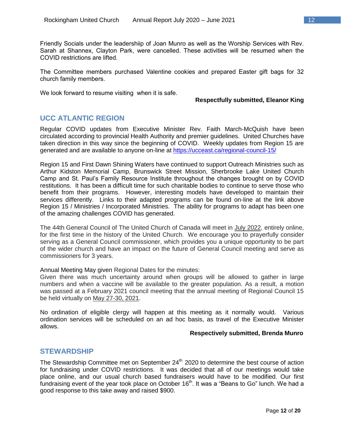Friendly Socials under the leadershiip of Joan Munro as well as the Worship Services with Rev. Sarah at Shannex, Clayton Park, were cancelled. These activities will be resumed when the COVID restrictions are lifted.

The Committee members purchased Valentine cookies and prepared Easter gift bags for 32 church family members.

We look forward to resume visiting when it is safe.

#### **Respectfully submitted, Eleanor King**

# **UCC ATLANTIC REGION**

Regular COVID updates from Executive Minister Rev. Faith March-McQuish have been circulated according to provincial Health Authority and premier guidelines. United Churches have taken direction in this way since the beginning of COVID. Weekly updates from Region 15 are generated and are available to anyone on-line at<https://ucceast.ca/regional-council-15/>

Region 15 and First Dawn Shining Waters have continued to support Outreach Ministries such as Arthur Kidston Memorial Camp, Brunswick Street Mission, Sherbrooke Lake United Church Camp and St. Paul's Family Resource Institute throughout the changes brought on by COVID restitutions. It has been a difficult time for such charitable bodies to continue to serve those who benefit from their programs. However, interesting models have developed to maintain their services differently. Links to their adapted programs can be found on-line at the link above Region 15 / Ministries / Incorporated Ministries. The ability for programs to adapt has been one of the amazing challenges COVID has generated.

The 44th General Council of The United Church of Canada will meet in July 2022, entirely online, for the first time in the history of the United Church. We encourage you to prayerfully consider serving as a General Council commissioner, which provides you a unique opportunity to be part of the wider church and have an impact on the future of General Council meeting and serve as commissioners for 3 years.

Annual Meeting May given Regional Dates for the minutes:

Given there was much uncertainty around when groups will be allowed to gather in large numbers and when a vaccine will be available to the greater population. As a result, a motion was passed at a February 2021 council meeting that the annual meeting of Regional Council 15 be held virtually on May 27-30, 2021.

No ordination of eligible clergy will happen at this meeting as it normally would. Various ordination services will be scheduled on an ad hoc basis, as travel of the Executive Minister allows.

#### **Respectively submitted, Brenda Munro**

# **STEWARDSHIP**

The Stewardship Committee met on September 24<sup>th</sup> 2020 to determine the best course of action for fundraising under COVID restrictions. It was decided that all of our meetings would take place online, and our usual church based fundraisers would have to be modified. Our first fundraising event of the year took place on October 16<sup>th</sup>. It was a "Beans to Go" lunch. We had a good response to this take away and raised \$900.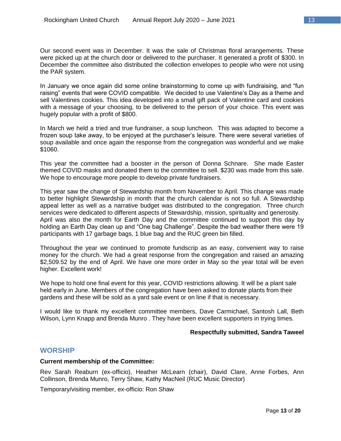Our second event was in December. It was the sale of Christmas floral arrangements. These were picked up at the church door or delivered to the purchaser. It generated a profit of \$300. In December the committee also distributed the collection envelopes to people who were not using the PAR system.

In January we once again did some online brainstorming to come up with fundraising, and "fun raising" events that were COVID compatible. We decided to use Valentine's Day as a theme and sell Valentines cookies. This idea developed into a small gift pack of Valentine card and cookies with a message of your choosing, to be delivered to the person of your choice. This event was hugely popular with a profit of \$800.

In March we held a tried and true fundraiser, a soup luncheon. This was adapted to become a frozen soup take away, to be enjoyed at the purchaser's leisure. There were several varieties of soup available and once again the response from the congregation was wonderful and we make \$1060.

This year the committee had a booster in the person of Donna Schnare. She made Easter themed COVID masks and donated them to the committee to sell. \$230 was made from this sale. We hope to encourage more people to develop private fundraisers.

This year saw the change of Stewardship month from November to April. This change was made to better highlight Stewardship in month that the church calendar is not so full. A Stewardship appeal letter as well as a narrative budget was distributed to the congregation. Three church services were dedicated to different aspects of Stewardship, mission, spirituality and generosity. April was also the month for Earth Day and the committee continued to support this day by holding an Earth Day clean up and "One bag Challenge". Despite the bad weather there were 19 participants with 17 garbage bags, 1 blue bag and the RUC green bin filled.

Throughout the year we continued to promote fundscrip as an easy, convenient way to raise money for the church. We had a great response from the congregation and raised an amazing \$2,509.52 by the end of April. We have one more order in May so the year total will be even higher. Excellent work!

We hope to hold one final event for this year, COVID restrictions allowing. It will be a plant sale held early in June. Members of the congregation have been asked to donate plants from their gardens and these will be sold as a yard sale event or on line if that is necessary.

I would like to thank my excellent committee members, Dave Carmichael, Santosh Lall, Beth Wilson, Lynn Knapp and Brenda Munro . They have been excellent supporters in trying times.

#### **Respectfully submitted, Sandra Taweel**

### **WORSHIP**

#### **Current membership of the Committee:**

Rev Sarah Reaburn (ex-officio), Heather McLearn (chair), David Clare, Anne Forbes, Ann Collinson, Brenda Munro, Terry Shaw, Kathy MacNeil (RUC Music Director)

Temporary/visiting member, ex-officio: Ron Shaw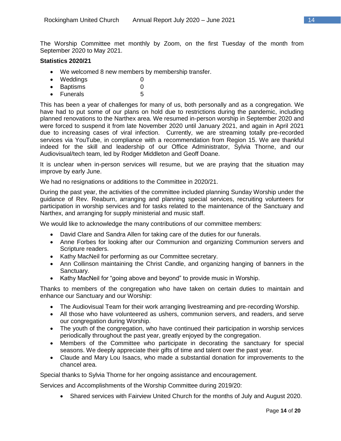The Worship Committee met monthly by Zoom, on the first Tuesday of the month from September 2020 to May 2021.

#### **Statistics 2020/21**

- We welcomed 8 new members by membership transfer.
- Weddings 0
- Baptisms 0
- Funerals 5

This has been a year of challenges for many of us, both personally and as a congregation. We have had to put some of our plans on hold due to restrictions during the pandemic, including planned renovations to the Narthex area. We resumed in-person worship in September 2020 and were forced to suspend it from late November 2020 until January 2021, and again in April 2021 due to increasing cases of viral infection. Currently, we are streaming totally pre-recorded services via YouTube, in compliance with a recommendation from Region 15. We are thankful indeed for the skill and leadership of our Office Administrator, Sylvia Thorne, and our Audiovisual/tech team, led by Rodger Middleton and Geoff Doane.

It is unclear when in-person services will resume, but we are praying that the situation may improve by early June.

We had no resignations or additions to the Committee in 2020/21.

During the past year, the activities of the committee included planning Sunday Worship under the guidance of Rev. Reaburn, arranging and planning special services, recruiting volunteers for participation in worship services and for tasks related to the maintenance of the Sanctuary and Narthex, and arranging for supply ministerial and music staff.

We would like to acknowledge the many contributions of our committee members:

- David Clare and Sandra Allen for taking care of the duties for our funerals.
- Anne Forbes for looking after our Communion and organizing Communion servers and Scripture readers.
- Kathy MacNeil for performing as our Committee secretary.
- Ann Collinson maintaining the Christ Candle, and organizing hanging of banners in the Sanctuary.
- Kathy MacNeil for "going above and beyond" to provide music in Worship.

Thanks to members of the congregation who have taken on certain duties to maintain and enhance our Sanctuary and our Worship:

- The Audiovisual Team for their work arranging livestreaming and pre-recording Worship.
- All those who have volunteered as ushers, communion servers, and readers, and serve our congregation during Worship.
- The youth of the congregation, who have continued their participation in worship services periodically throughout the past year, greatly enjoyed by the congregation.
- Members of the Committee who participate in decorating the sanctuary for special seasons. We deeply appreciate their gifts of time and talent over the past year.
- Claude and Mary Lou Isaacs, who made a substantial donation for improvements to the chancel area.

Special thanks to Sylvia Thorne for her ongoing assistance and encouragement.

Services and Accomplishments of the Worship Committee during 2019/20:

Shared services with Fairview United Church for the months of July and August 2020.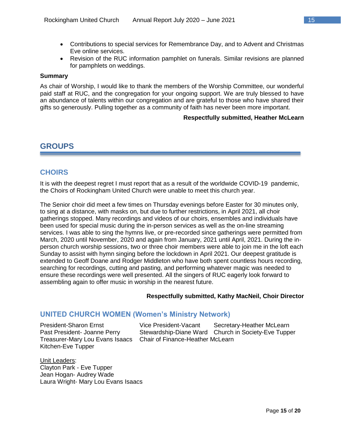- Contributions to special services for Remembrance Day, and to Advent and Christmas Eve online services.
- Revision of the RUC information pamphlet on funerals. Similar revisions are planned for pamphlets on weddings.

#### **Summary**

As chair of Worship, I would like to thank the members of the Worship Committee, our wonderful paid staff at RUC, and the congregation for your ongoing support. We are truly blessed to have an abundance of talents within our congregation and are grateful to those who have shared their gifts so generously. Pulling together as a community of faith has never been more important.

#### **Respectfully submitted, Heather McLearn**

# **GROUPS**

# **CHOIRS**

It is with the deepest regret I must report that as a result of the worldwide COVID-19 pandemic, the Choirs of Rockingham United Church were unable to meet this church year.

The Senior choir did meet a few times on Thursday evenings before Easter for 30 minutes only, to sing at a distance, with masks on, but due to further restrictions, in April 2021, all choir gatherings stopped. Many recordings and videos of our choirs, ensembles and individuals have been used for special music during the in-person services as well as the on-line streaming services. I was able to sing the hymns live, or pre-recorded since gatherings were permitted from March, 2020 until November, 2020 and again from January, 2021 until April, 2021. During the inperson church worship sessions, two or three choir members were able to join me in the loft each Sunday to assist with hymn singing before the lockdown in April 2021. Our deepest gratitude is extended to Geoff Doane and Rodger Middleton who have both spent countless hours recording, searching for recordings, cutting and pasting, and performing whatever magic was needed to ensure these recordings were well presented. All the singers of RUC eagerly look forward to assembling again to offer music in worship in the nearest future.

#### **Respectfully submitted, Kathy MacNeil, Choir Director**

### **UNITED CHURCH WOMEN (Women's Ministry Network)**

Kitchen-Eve Tupper

President-Sharon Ernst Vice President-Vacant Secretary-Heather McLearn Past President- Joanne Perry Stewardship-Diane Ward Church in Society-Eve Tupper Treasurer-Mary Lou Evans Isaacs Chair of Finance-Heather McLearn

Unit Leaders: Clayton Park - Eve Tupper Jean Hogan- Audrey Wade Laura Wright- Mary Lou Evans Isaacs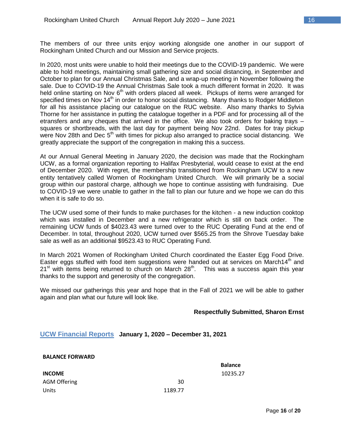The members of our three units enjoy working alongside one another in our support of Rockingham United Church and our Mission and Service projects.

In 2020, most units were unable to hold their meetings due to the COVID-19 pandemic. We were able to hold meetings, maintaining small gathering size and social distancing, in September and October to plan for our Annual Christmas Sale, and a wrap-up meeting in November following the sale. Due to COVID-19 the Annual Christmas Sale took a much different format in 2020. It was held online starting on Nov 6<sup>th</sup> with orders placed all week. Pickups of items were arranged for specified times on Nov 14<sup>th</sup> in order to honor social distancing. Many thanks to Rodger Middleton for all his assistance placing our catalogue on the RUC website. Also many thanks to Sylvia Thorne for her assistance in putting the catalogue together in a PDF and for processing all of the etransfers and any cheques that arrived in the office. We also took orders for baking trays – squares or shortbreads, with the last day for payment being Nov 22nd. Dates for tray pickup were Nov 28th and Dec  $5<sup>th</sup>$  with times for pickup also arranged to practice social distancing. We greatly appreciate the support of the congregation in making this a success.

At our Annual General Meeting in January 2020, the decision was made that the Rockingham UCW, as a formal organization reporting to Halifax Presbyterial, would cease to exist at the end of December 2020. With regret, the membership transitioned from Rockingham UCW to a new entity tentatively called Women of Rockingham United Church. We will primarily be a social group within our pastoral charge, although we hope to continue assisting with fundraising. Due to COVID-19 we were unable to gather in the fall to plan our future and we hope we can do this when it is safe to do so.

The UCW used some of their funds to make purchases for the kitchen - a new induction cooktop which was installed in December and a new refrigerator which is still on back order. The remaining UCW funds of \$4023.43 were turned over to the RUC Operating Fund at the end of December. In total, throughout 2020, UCW turned over \$565.25 from the Shrove Tuesday bake sale as well as an additional \$9523.43 to RUC Operating Fund.

In March 2021 Women of Rockingham United Church coordinated the Easter Egg Food Drive. Easter eggs stuffed with food item suggestions were handed out at services on March14<sup>th</sup> and  $21<sup>st</sup>$  with items being returned to church on March  $28<sup>th</sup>$ . This was a success again this year thanks to the support and generosity of the congregation.

We missed our gatherings this year and hope that in the Fall of 2021 we will be able to gather again and plan what our future will look like.

### **Respectfully Submitted, Sharon Ernst**

#### **UCW Financial Reports January 1, 2020 – December 31, 2021**

**BALANCE FORWARD**

|                     |         | <b>Balance</b> |
|---------------------|---------|----------------|
| <b>INCOME</b>       |         | 10235.27       |
| <b>AGM Offering</b> | 30      |                |
| Units               | 1189.77 |                |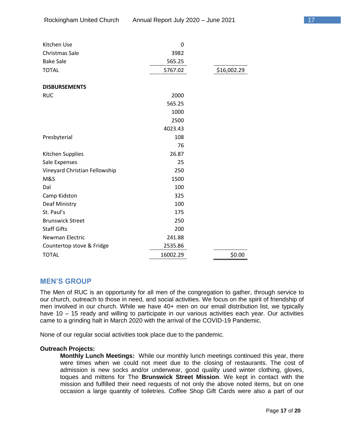| Kitchen Use                   | 0        |             |
|-------------------------------|----------|-------------|
| Christmas Sale                | 3982     |             |
| <b>Bake Sale</b>              | 565.25   |             |
| <b>TOTAL</b>                  | 5767.02  | \$16,002.29 |
| <b>DISBURSEMENTS</b>          |          |             |
| <b>RUC</b>                    | 2000     |             |
|                               | 565.25   |             |
|                               | 1000     |             |
|                               | 2500     |             |
|                               | 4023.43  |             |
| Presbyterial                  | 108      |             |
|                               | 76       |             |
| Kitchen Supplies              | 26.87    |             |
| Sale Expenses                 | 25       |             |
| Vineyard Christian Fellowship | 250      |             |
| M&S                           | 1500     |             |
| Dal                           | 100      |             |
| Camp Kidston                  | 325      |             |
| Deaf Ministry                 | 100      |             |
| St. Paul's                    | 175      |             |
| <b>Brunswick Street</b>       | 250      |             |
| <b>Staff Gifts</b>            | 200      |             |
| Newman Electric               | 241.88   |             |
| Countertop stove & Fridge     | 2535.86  |             |
| <b>TOTAL</b>                  | 16002.29 | \$0.00      |

# **MEN'S GROUP**

The Men of RUC is an opportunity for all men of the congregation to gather, through service to our church, outreach to those in need, and social activities. We focus on the spirit of friendship of men involved in our church. While we have 40+ men on our email distribution list, we typically have 10 – 15 ready and willing to participate in our various activities each year. Our activities came to a grinding halt in March 2020 with the arrival of the COVID-19 Pandemic.

None of our regular social activities took place due to the pandemic.

#### **Outreach Projects:**

**Monthly Lunch Meetings:** While our monthly lunch meetings continued this year, there were times when we could not meet due to the closing of restaurants. The cost of admission is new socks and/or underwear, good quality used winter clothing, gloves, toques and mittens for The **Brunswick Street Mission**. We kept in contact with the mission and fulfilled their need requests of not only the above noted items, but on one occasion a large quantity of toiletries. Coffee Shop Gift Cards were also a part of our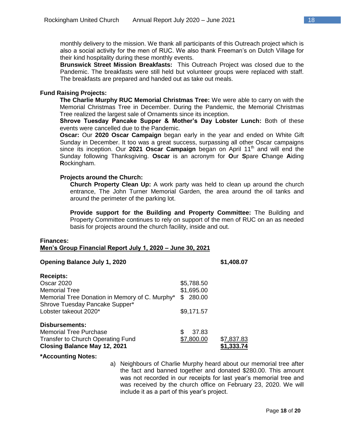monthly delivery to the mission. We thank all participants of this Outreach project which is also a social activity for the men of RUC. We also thank Freeman's on Dutch Village for their kind hospitality during these monthly events.

**Brunswick Street Mission Breakfasts:** This Outreach Project was closed due to the Pandemic. The breakfasts were still held but volunteer groups were replaced with staff. The breakfasts are prepared and handed out as take out meals.

#### **Fund Raising Projects:**

**The Charlie Murphy RUC Memorial Christmas Tree:** We were able to carry on with the Memorial Christmas Tree in December. During the Pandemic, the Memorial Christmas Tree realized the largest sale of Ornaments since its inception.

**Shrove Tuesday Pancake Supper & Mother's Day Lobster Lunch:** Both of these events were cancelled due to the Pandemic.

**Oscar:** Our **2020 Oscar Campaign** began early in the year and ended on White Gift Sunday in December. It too was a great success, surpassing all other Oscar campaigns since its inception. Our 2021 Oscar Campaign began on April 11<sup>th</sup> and will end the Sunday following Thanksgiving. **Oscar** is an acronym for **O**ur **S**pare **C**hange **A**iding **R**ockingham.

#### **Projects around the Church:**

**Church Property Clean Up:** A work party was held to clean up around the church entrance, The John Turner Memorial Garden, the area around the oil tanks and around the perimeter of the parking lot.

**Provide support for the Building and Property Committee:** The Building and Property Committee continues to rely on support of the men of RUC on an as needed basis for projects around the church facility, inside and out.

#### **Finances: Men's Group Financial Report July 1, 2020 – June 30, 2021**

#### **Opening Balance July 1, 2020 \$1,408.07**

| <b>Receipts:</b>                               |              |            |
|------------------------------------------------|--------------|------------|
| <b>Oscar 2020</b>                              | \$5,788.50   |            |
| <b>Memorial Tree</b>                           | \$1,695.00   |            |
| Memorial Tree Donation in Memory of C. Murphy* | \$280.00     |            |
| Shrove Tuesday Pancake Supper*                 |              |            |
| Lobster takeout 2020*                          | \$9,171.57   |            |
| <b>Disbursements:</b>                          |              |            |
| <b>Memorial Tree Purchase</b>                  | 37.83<br>\$. |            |
| <b>Transfer to Church Operating Fund</b>       | \$7,800.00   | \$7,837.83 |
| <b>Closing Balance May 12, 2021</b>            |              | \$1,333.74 |

#### **\*Accounting Notes:**

a) Neighbours of Charlie Murphy heard about our memorial tree after the fact and banned together and donated \$280.00. This amount was not recorded in our receipts for last year's memorial tree and was received by the church office on February 23, 2020. We will include it as a part of this year's project.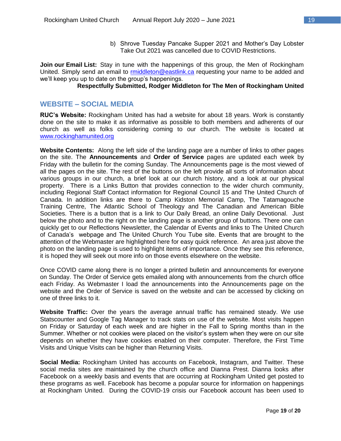b) Shrove Tuesday Pancake Supper 2021 and Mother's Day Lobster Take Out 2021 was cancelled due to COVID Restrictions.

**Join our Email List:** Stay in tune with the happenings of this group, the Men of Rockingham United. Simply send an email to [rmiddleton@eastlink.ca](mailto:rmiddleton@eastlink.ca) requesting your name to be added and we'll keep you up to date on the group's happenings.

# **Respectfully Submitted, Rodger Middleton for The Men of Rockingham United**

### **WEBSITE – SOCIAL MEDIA**

**RUC's Website:** Rockingham United has had a website for about 18 years. Work is constantly done on the site to make it as informative as possible to both members and adherents of our church as well as folks considering coming to our church. The website is located at [www.rockinghamunited.org](http://www.rockinghamunited.org/)

**Website Contents:** Along the left side of the landing page are a number of links to other pages on the site. The **Announcements** and **Order of Service** pages are updated each week by Friday with the bulletin for the coming Sunday. The Announcements page is the most viewed of all the pages on the site. The rest of the buttons on the left provide all sorts of information about various groups in our church, a brief look at our church history, and a look at our physical property. There is a Links Button that provides connection to the wider church community, including Regional Staff Contact information for Regional Council 15 and The United Church of Canada. In addition links are there to Camp Kidston Memorial Camp, The Tatamagouche Training Centre, The Atlantic School of Theology and The Canadian and American Bible Societies. There is a button that is a link to Our Daily Bread, an online Daily Devotional. Just below the photo and to the right on the landing page is another group of buttons. There one can quickly get to our Reflections Newsletter, the Calendar of Events and links to The United Church of Canada's webpage and The United Church You Tube site. Events that are brought to the attention of the Webmaster are highlighted here for easy quick reference. An area just above the photo on the landing page is used to highlight items of importance. Once they see this reference, it is hoped they will seek out more info on those events elsewhere on the website.

Once COVID came along there is no longer a printed bulletin and announcements for everyone on Sunday. The Order of Service gets emailed along with announcements from the church office each Friday. As Webmaster I load the announcements into the Announcements page on the website and the Order of Service is saved on the website and can be accessed by clicking on one of three links to it.

**Website Traffic:** Over the years the average annual traffic has remained steady. We use Statscounter and Google Tag Manager to track stats on use of the website. Most visits happen on Friday or Saturday of each week and are higher in the Fall to Spring months than in the Summer. Whether or not cookies were placed on the visitor's system when they were on our site depends on whether they have cookies enabled on their computer. Therefore, the First Time Visits and Unique Visits can be higher than Returning Visits.

**Social Media:** Rockingham United has accounts on Facebook, Instagram, and Twitter. These social media sites are maintained by the church office and Dianna Prest. Dianna looks after Facebook on a weekly basis and events that are occurring at Rockingham United get posted to these programs as well. Facebook has become a popular source for information on happenings at Rockingham United. During the COVID-19 crisis our Facebook account has been used to